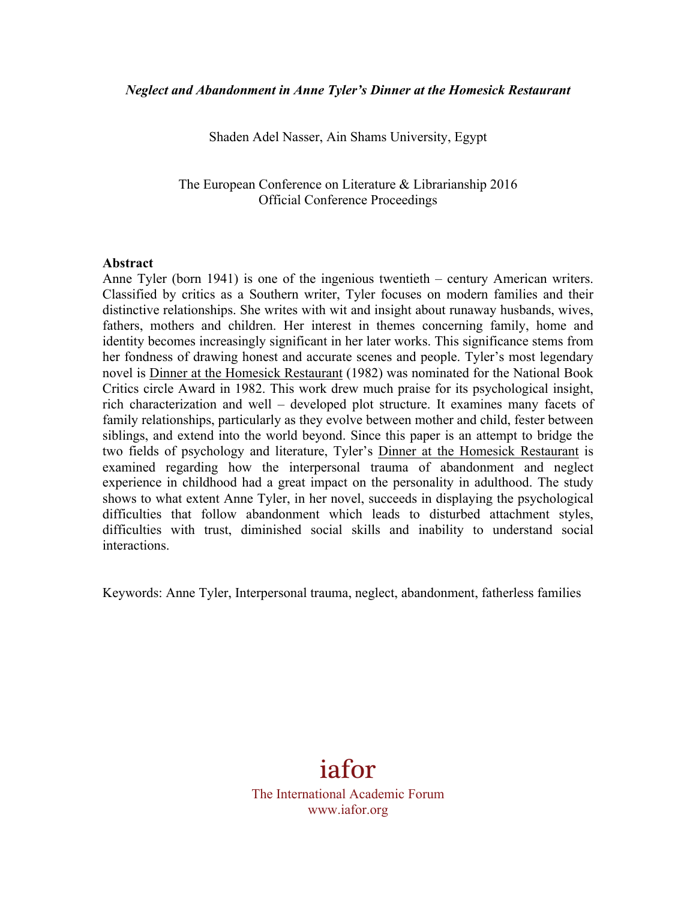Shaden Adel Nasser, Ain Shams University, Egypt

The European Conference on Literature & Librarianship 2016 Official Conference Proceedings

#### **Abstract**

Anne Tyler (born 1941) is one of the ingenious twentieth – century American writers. Classified by critics as a Southern writer, Tyler focuses on modern families and their distinctive relationships. She writes with wit and insight about runaway husbands, wives, fathers, mothers and children. Her interest in themes concerning family, home and identity becomes increasingly significant in her later works. This significance stems from her fondness of drawing honest and accurate scenes and people. Tyler's most legendary novel is Dinner at the Homesick Restaurant (1982) was nominated for the National Book Critics circle Award in 1982. This work drew much praise for its psychological insight, rich characterization and well – developed plot structure. It examines many facets of family relationships, particularly as they evolve between mother and child, fester between siblings, and extend into the world beyond. Since this paper is an attempt to bridge the two fields of psychology and literature, Tyler's Dinner at the Homesick Restaurant is examined regarding how the interpersonal trauma of abandonment and neglect experience in childhood had a great impact on the personality in adulthood. The study shows to what extent Anne Tyler, in her novel, succeeds in displaying the psychological difficulties that follow abandonment which leads to disturbed attachment styles, difficulties with trust, diminished social skills and inability to understand social interactions.

Keywords: Anne Tyler, Interpersonal trauma, neglect, abandonment, fatherless families

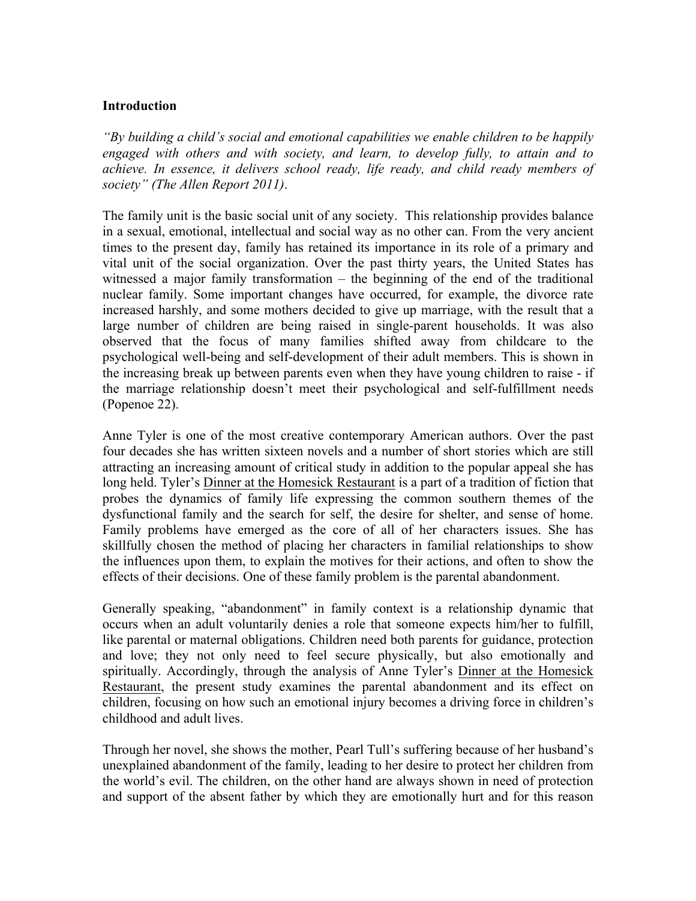## **Introduction**

*"By building a child's social and emotional capabilities we enable children to be happily engaged with others and with society, and learn, to develop fully, to attain and to achieve. In essence, it delivers school ready, life ready, and child ready members of society" (The Allen Report 2011)*.

The family unit is the basic social unit of any society. This relationship provides balance in a sexual, emotional, intellectual and social way as no other can. From the very ancient times to the present day, family has retained its importance in its role of a primary and vital unit of the social organization. Over the past thirty years, the United States has witnessed a major family transformation – the beginning of the end of the traditional nuclear family. Some important changes have occurred, for example, the divorce rate increased harshly, and some mothers decided to give up marriage, with the result that a large number of children are being raised in single-parent households. It was also observed that the focus of many families shifted away from childcare to the psychological well-being and self-development of their adult members. This is shown in the increasing break up between parents even when they have young children to raise - if the marriage relationship doesn't meet their psychological and self-fulfillment needs (Popenoe 22).

Anne Tyler is one of the most creative contemporary American authors. Over the past four decades she has written sixteen novels and a number of short stories which are still attracting an increasing amount of critical study in addition to the popular appeal she has long held. Tyler's Dinner at the Homesick Restaurant is a part of a tradition of fiction that probes the dynamics of family life expressing the common southern themes of the dysfunctional family and the search for self, the desire for shelter, and sense of home. Family problems have emerged as the core of all of her characters issues. She has skillfully chosen the method of placing her characters in familial relationships to show the influences upon them, to explain the motives for their actions, and often to show the effects of their decisions. One of these family problem is the parental abandonment.

Generally speaking, "abandonment" in family context is a relationship dynamic that occurs when an adult voluntarily denies a role that someone expects him/her to fulfill, like parental or maternal obligations. Children need both parents for guidance, protection and love; they not only need to feel secure physically, but also emotionally and spiritually. Accordingly, through the analysis of Anne Tyler's Dinner at the Homesick Restaurant, the present study examines the parental abandonment and its effect on children, focusing on how such an emotional injury becomes a driving force in children's childhood and adult lives.

Through her novel, she shows the mother, Pearl Tull's suffering because of her husband's unexplained abandonment of the family, leading to her desire to protect her children from the world's evil. The children, on the other hand are always shown in need of protection and support of the absent father by which they are emotionally hurt and for this reason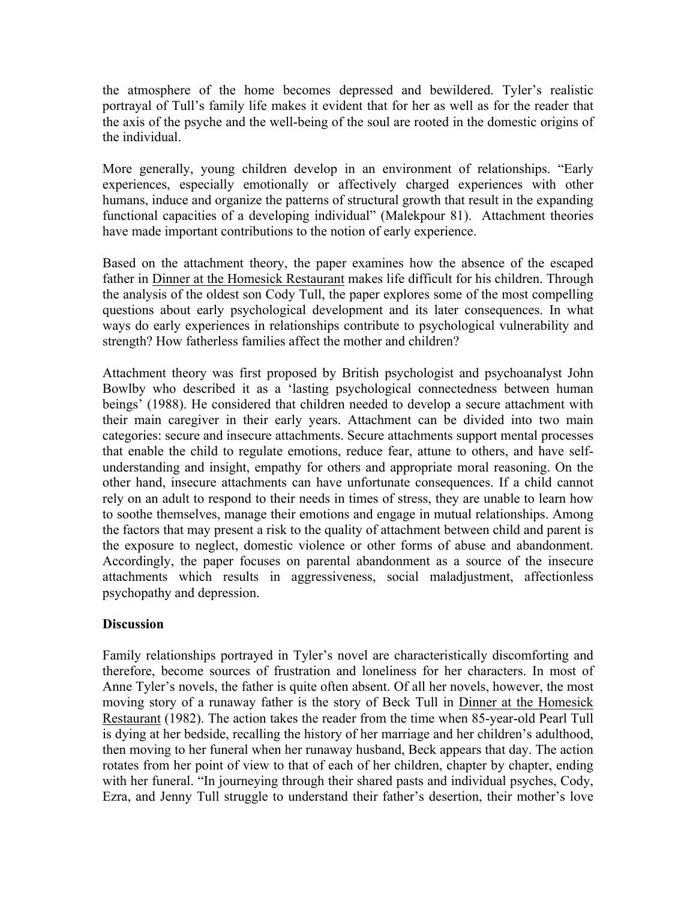the atmosphere of the home becomes depressed and bewildered. Tyler's realistic portrayal of Tull's family life makes it evident that for her as well as for the reader that the axis of the psyche and the well-being of the soul are rooted in the domestic origins of the individual.

More generally, young children develop in an environment of relationships. "Early experiences, especially emotionally or affectively charged experiences with other humans, induce and organize the patterns of structural growth that result in the expanding functional capacities of a developing individual" (Malekpour 81). Attachment theories have made important contributions to the notion of early experience.

Based on the attachment theory, the paper examines how the absence of the escaped father in Dinner at the Homesick Restaurant makes life difficult for his children. Through the analysis of the oldest son Cody Tull, the paper explores some of the most compelling questions about early psychological development and its later consequences. In what ways do early experiences in relationships contribute to psychological vulnerability and strength? How fatherless families affect the mother and children?

Attachment theory was first proposed by British psychologist and psychoanalyst John Bowlby who described it as a 'lasting psychological connectedness between human beings' (1988). He considered that children needed to develop a secure attachment with their main caregiver in their early years. Attachment can be divided into two main categories: secure and insecure attachments. Secure attachments support mental processes that enable the child to regulate emotions, reduce fear, attune to others, and have selfunderstanding and insight, empathy for others and appropriate moral reasoning. On the other hand, insecure attachments can have unfortunate consequences. If a child cannot rely on an adult to respond to their needs in times of stress, they are unable to learn how to soothe themselves, manage their emotions and engage in mutual relationships. Among the factors that may present a risk to the quality of attachment between child and parent is the exposure to neglect, domestic violence or other forms of abuse and abandonment. Accordingly, the paper focuses on parental abandonment as a source of the insecure attachments which results in aggressiveness, social maladjustment, affectionless psychopathy and depression.

### **Discussion**

Family relationships portrayed in Tyler's novel are characteristically discomforting and therefore, become sources of frustration and loneliness for her characters. In most of Anne Tyler's novels, the father is quite often absent. Of all her novels, however, the most moving story of a runaway father is the story of Beck Tull in Dinner at the Homesick Restaurant (1982). The action takes the reader from the time when 85-year-old Pearl Tull is dying at her bedside, recalling the history of her marriage and her children's adulthood, then moving to her funeral when her runaway husband, Beck appears that day. The action rotates from her point of view to that of each of her children, chapter by chapter, ending with her funeral. "In journeying through their shared pasts and individual psyches, Cody, Ezra, and Jenny Tull struggle to understand their father's desertion, their mother's love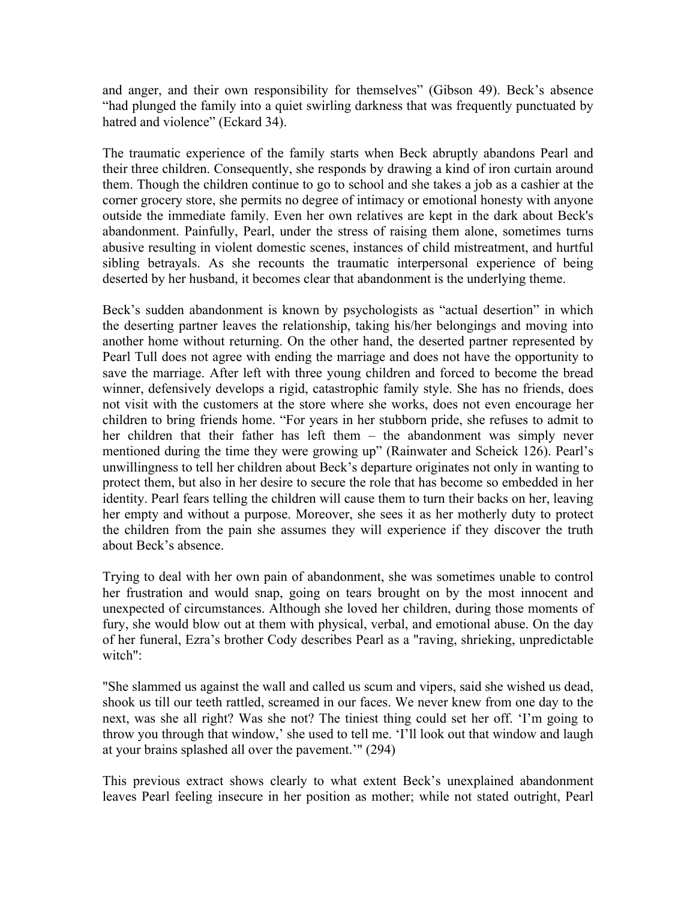and anger, and their own responsibility for themselves" (Gibson 49). Beck's absence "had plunged the family into a quiet swirling darkness that was frequently punctuated by hatred and violence" (Eckard 34).

The traumatic experience of the family starts when Beck abruptly abandons Pearl and their three children. Consequently, she responds by drawing a kind of iron curtain around them. Though the children continue to go to school and she takes a job as a cashier at the corner grocery store, she permits no degree of intimacy or emotional honesty with anyone outside the immediate family. Even her own relatives are kept in the dark about Beck's abandonment. Painfully, Pearl, under the stress of raising them alone, sometimes turns abusive resulting in violent domestic scenes, instances of child mistreatment, and hurtful sibling betrayals. As she recounts the traumatic interpersonal experience of being deserted by her husband, it becomes clear that abandonment is the underlying theme.

Beck's sudden abandonment is known by psychologists as "actual desertion" in which the deserting partner leaves the relationship, taking his/her belongings and moving into another home without returning. On the other hand, the deserted partner represented by Pearl Tull does not agree with ending the marriage and does not have the opportunity to save the marriage. After left with three young children and forced to become the bread winner, defensively develops a rigid, catastrophic family style. She has no friends, does not visit with the customers at the store where she works, does not even encourage her children to bring friends home. "For years in her stubborn pride, she refuses to admit to her children that their father has left them – the abandonment was simply never mentioned during the time they were growing up" (Rainwater and Scheick 126). Pearl's unwillingness to tell her children about Beck's departure originates not only in wanting to protect them, but also in her desire to secure the role that has become so embedded in her identity. Pearl fears telling the children will cause them to turn their backs on her, leaving her empty and without a purpose. Moreover, she sees it as her motherly duty to protect the children from the pain she assumes they will experience if they discover the truth about Beck's absence.

Trying to deal with her own pain of abandonment, she was sometimes unable to control her frustration and would snap, going on tears brought on by the most innocent and unexpected of circumstances. Although she loved her children, during those moments of fury, she would blow out at them with physical, verbal, and emotional abuse. On the day of her funeral, Ezra's brother Cody describes Pearl as a "raving, shrieking, unpredictable witch":

"She slammed us against the wall and called us scum and vipers, said she wished us dead, shook us till our teeth rattled, screamed in our faces. We never knew from one day to the next, was she all right? Was she not? The tiniest thing could set her off. 'I'm going to throw you through that window,' she used to tell me. 'I'll look out that window and laugh at your brains splashed all over the pavement.'" (294)

This previous extract shows clearly to what extent Beck's unexplained abandonment leaves Pearl feeling insecure in her position as mother; while not stated outright, Pearl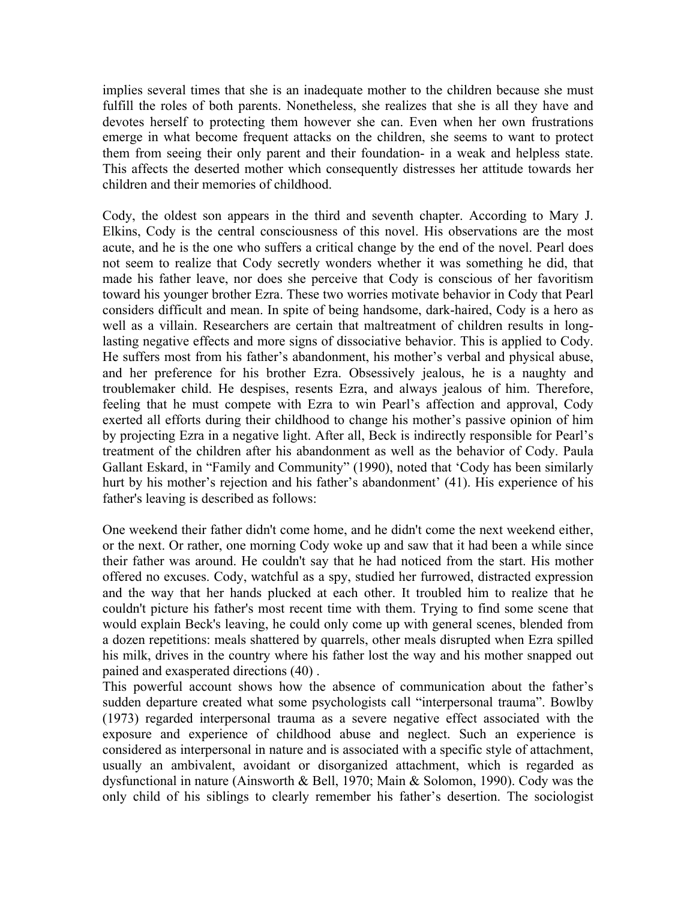implies several times that she is an inadequate mother to the children because she must fulfill the roles of both parents. Nonetheless, she realizes that she is all they have and devotes herself to protecting them however she can. Even when her own frustrations emerge in what become frequent attacks on the children, she seems to want to protect them from seeing their only parent and their foundation- in a weak and helpless state. This affects the deserted mother which consequently distresses her attitude towards her children and their memories of childhood.

Cody, the oldest son appears in the third and seventh chapter. According to Mary J. Elkins, Cody is the central consciousness of this novel. His observations are the most acute, and he is the one who suffers a critical change by the end of the novel. Pearl does not seem to realize that Cody secretly wonders whether it was something he did, that made his father leave, nor does she perceive that Cody is conscious of her favoritism toward his younger brother Ezra. These two worries motivate behavior in Cody that Pearl considers difficult and mean. In spite of being handsome, dark-haired, Cody is a hero as well as a villain. Researchers are certain that maltreatment of children results in longlasting negative effects and more signs of dissociative behavior. This is applied to Cody. He suffers most from his father's abandonment, his mother's verbal and physical abuse, and her preference for his brother Ezra. Obsessively jealous, he is a naughty and troublemaker child. He despises, resents Ezra, and always jealous of him. Therefore, feeling that he must compete with Ezra to win Pearl's affection and approval, Cody exerted all efforts during their childhood to change his mother's passive opinion of him by projecting Ezra in a negative light. After all, Beck is indirectly responsible for Pearl's treatment of the children after his abandonment as well as the behavior of Cody. Paula Gallant Eskard, in "Family and Community" (1990), noted that 'Cody has been similarly hurt by his mother's rejection and his father's abandonment' (41). His experience of his father's leaving is described as follows:

One weekend their father didn't come home, and he didn't come the next weekend either, or the next. Or rather, one morning Cody woke up and saw that it had been a while since their father was around. He couldn't say that he had noticed from the start. His mother offered no excuses. Cody, watchful as a spy, studied her furrowed, distracted expression and the way that her hands plucked at each other. It troubled him to realize that he couldn't picture his father's most recent time with them. Trying to find some scene that would explain Beck's leaving, he could only come up with general scenes, blended from a dozen repetitions: meals shattered by quarrels, other meals disrupted when Ezra spilled his milk, drives in the country where his father lost the way and his mother snapped out pained and exasperated directions (40) .

This powerful account shows how the absence of communication about the father's sudden departure created what some psychologists call "interpersonal trauma". Bowlby (1973) regarded interpersonal trauma as a severe negative effect associated with the exposure and experience of childhood abuse and neglect. Such an experience is considered as interpersonal in nature and is associated with a specific style of attachment, usually an ambivalent, avoidant or disorganized attachment, which is regarded as dysfunctional in nature (Ainsworth & Bell, 1970; Main & Solomon, 1990). Cody was the only child of his siblings to clearly remember his father's desertion. The sociologist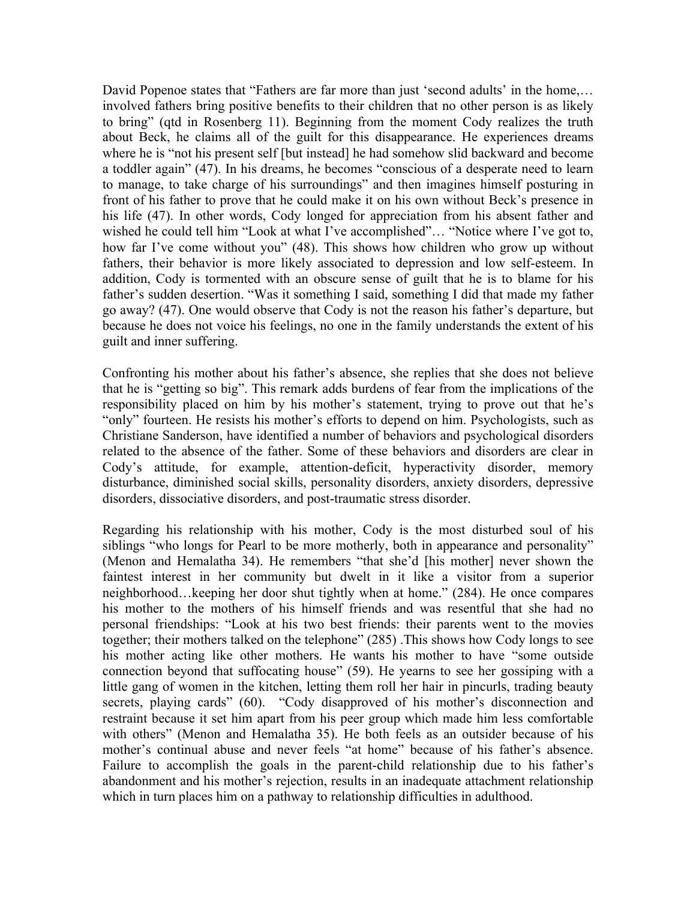David Popenoe states that "Fathers are far more than just 'second adults' in the home,... involved fathers bring positive benefits to their children that no other person is as likely to bring" (qtd in Rosenberg 11). Beginning from the moment Cody realizes the truth about Beck, he claims all of the guilt for this disappearance. He experiences dreams where he is "not his present self [but instead] he had somehow slid backward and become a toddler again" (47). In his dreams, he becomes "conscious of a desperate need to learn to manage, to take charge of his surroundings" and then imagines himself posturing in front of his father to prove that he could make it on his own without Beck's presence in his life (47). In other words, Cody longed for appreciation from his absent father and wished he could tell him "Look at what I've accomplished"… "Notice where I've got to, how far I've come without you" (48). This shows how children who grow up without fathers, their behavior is more likely associated to depression and low self-esteem. In addition, Cody is tormented with an obscure sense of guilt that he is to blame for his father's sudden desertion. "Was it something I said, something I did that made my father go away? (47). One would observe that Cody is not the reason his father's departure, but because he does not voice his feelings, no one in the family understands the extent of his guilt and inner suffering.

Confronting his mother about his father's absence, she replies that she does not believe that he is "getting so big". This remark adds burdens of fear from the implications of the responsibility placed on him by his mother's statement, trying to prove out that he's "only" fourteen. He resists his mother's efforts to depend on him. Psychologists, such as Christiane Sanderson, have identified a number of behaviors and psychological disorders related to the absence of the father. Some of these behaviors and disorders are clear in Cody's attitude, for example, attention-deficit, hyperactivity disorder, memory disturbance, diminished social skills, personality disorders, anxiety disorders, depressive disorders, dissociative disorders, and post-traumatic stress disorder.

Regarding his relationship with his mother, Cody is the most disturbed soul of his siblings "who longs for Pearl to be more motherly, both in appearance and personality" (Menon and Hemalatha 34). He remembers "that she'd [his mother] never shown the faintest interest in her community but dwelt in it like a visitor from a superior neighborhood…keeping her door shut tightly when at home." (284). He once compares his mother to the mothers of his himself friends and was resentful that she had no personal friendships: "Look at his two best friends: their parents went to the movies together; their mothers talked on the telephone" (285) .This shows how Cody longs to see his mother acting like other mothers. He wants his mother to have "some outside connection beyond that suffocating house" (59). He yearns to see her gossiping with a little gang of women in the kitchen, letting them roll her hair in pincurls, trading beauty secrets, playing cards" (60). "Cody disapproved of his mother's disconnection and restraint because it set him apart from his peer group which made him less comfortable with others" (Menon and Hemalatha 35). He both feels as an outsider because of his mother's continual abuse and never feels "at home" because of his father's absence. Failure to accomplish the goals in the parent-child relationship due to his father's abandonment and his mother's rejection, results in an inadequate attachment relationship which in turn places him on a pathway to relationship difficulties in adulthood.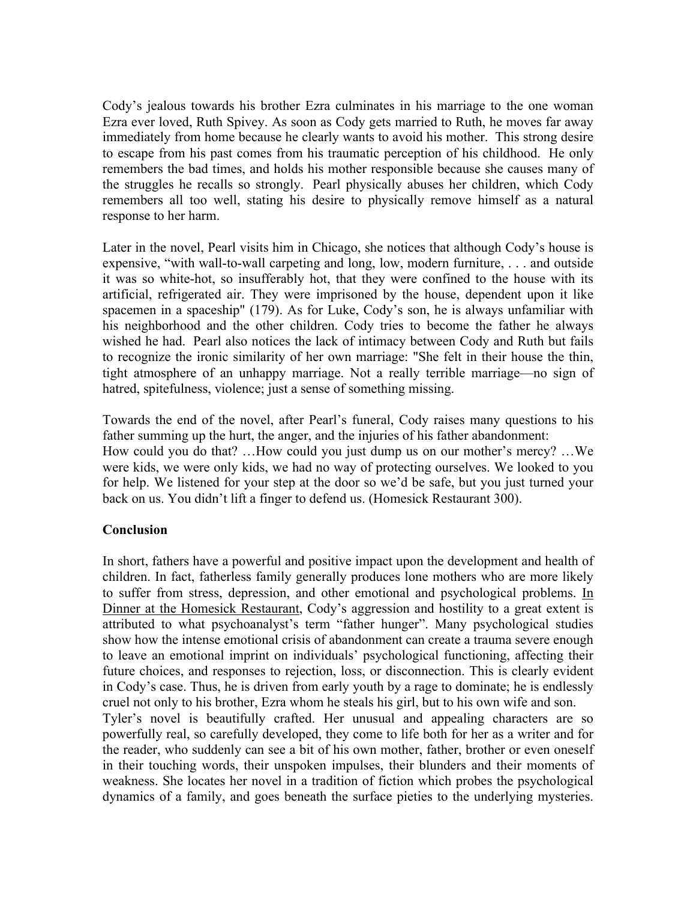Cody's jealous towards his brother Ezra culminates in his marriage to the one woman Ezra ever loved, Ruth Spivey. As soon as Cody gets married to Ruth, he moves far away immediately from home because he clearly wants to avoid his mother. This strong desire to escape from his past comes from his traumatic perception of his childhood. He only remembers the bad times, and holds his mother responsible because she causes many of the struggles he recalls so strongly. Pearl physically abuses her children, which Cody remembers all too well, stating his desire to physically remove himself as a natural response to her harm.

Later in the novel, Pearl visits him in Chicago, she notices that although Cody's house is expensive, "with wall-to-wall carpeting and long, low, modern furniture, . . . and outside it was so white-hot, so insufferably hot, that they were confined to the house with its artificial, refrigerated air. They were imprisoned by the house, dependent upon it like spacemen in a spaceship" (179). As for Luke, Cody's son, he is always unfamiliar with his neighborhood and the other children. Cody tries to become the father he always wished he had. Pearl also notices the lack of intimacy between Cody and Ruth but fails to recognize the ironic similarity of her own marriage: "She felt in their house the thin, tight atmosphere of an unhappy marriage. Not a really terrible marriage—no sign of hatred, spitefulness, violence; just a sense of something missing.

Towards the end of the novel, after Pearl's funeral, Cody raises many questions to his father summing up the hurt, the anger, and the injuries of his father abandonment: How could you do that? …How could you just dump us on our mother's mercy? …We were kids, we were only kids, we had no way of protecting ourselves. We looked to you for help. We listened for your step at the door so we'd be safe, but you just turned your back on us. You didn't lift a finger to defend us. (Homesick Restaurant 300).

# **Conclusion**

In short, fathers have a powerful and positive impact upon the development and health of children. In fact, fatherless family generally produces lone mothers who are more likely to suffer from stress, depression, and other emotional and psychological problems. In Dinner at the Homesick Restaurant, Cody's aggression and hostility to a great extent is attributed to what psychoanalyst's term "father hunger". Many psychological studies show how the intense emotional crisis of abandonment can create a trauma severe enough to leave an emotional imprint on individuals' psychological functioning, affecting their future choices, and responses to rejection, loss, or disconnection. This is clearly evident in Cody's case. Thus, he is driven from early youth by a rage to dominate; he is endlessly cruel not only to his brother, Ezra whom he steals his girl, but to his own wife and son. Tyler's novel is beautifully crafted. Her unusual and appealing characters are so powerfully real, so carefully developed, they come to life both for her as a writer and for the reader, who suddenly can see a bit of his own mother, father, brother or even oneself in their touching words, their unspoken impulses, their blunders and their moments of weakness. She locates her novel in a tradition of fiction which probes the psychological

dynamics of a family, and goes beneath the surface pieties to the underlying mysteries.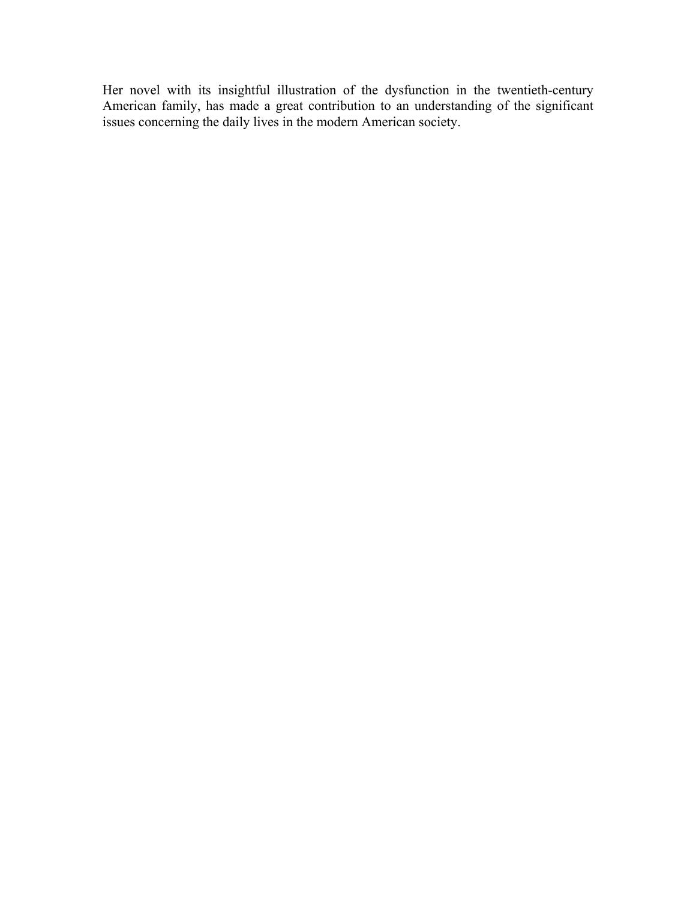Her novel with its insightful illustration of the dysfunction in the twentieth-century American family, has made a great contribution to an understanding of the significant issues concerning the daily lives in the modern American society.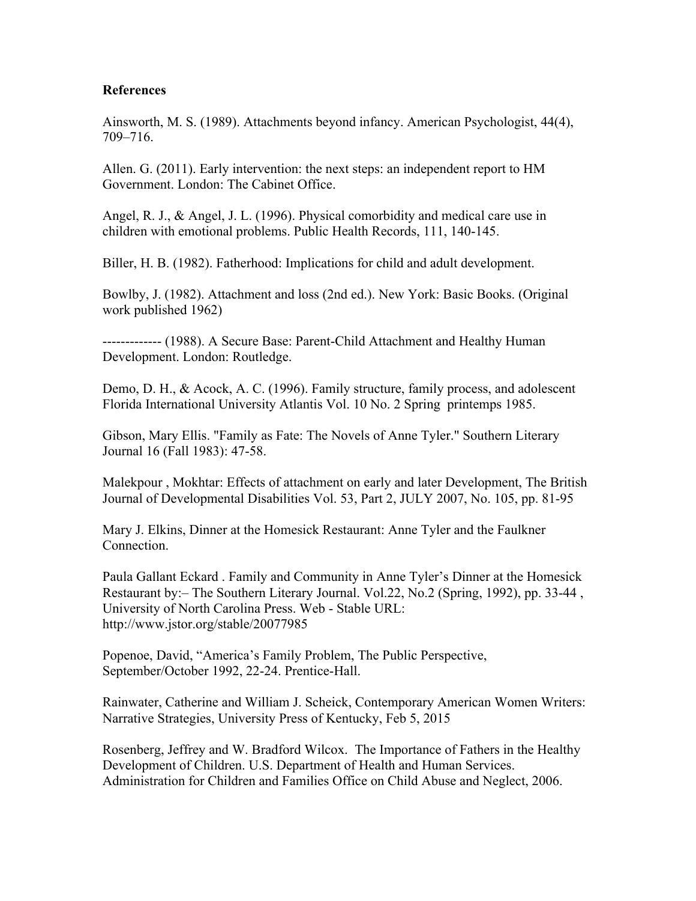#### **References**

Ainsworth, M. S. (1989). Attachments beyond infancy. American Psychologist, 44(4), 709–716.

Allen. G. (2011). Early intervention: the next steps: an independent report to HM Government. London: The Cabinet Office.

Angel, R. J., & Angel, J. L. (1996). Physical comorbidity and medical care use in children with emotional problems. Public Health Records, 111, 140-145.

Biller, H. B. (1982). Fatherhood: Implications for child and adult development.

Bowlby, J. (1982). Attachment and loss (2nd ed.). New York: Basic Books. (Original work published 1962)

------------- (1988). A Secure Base: Parent-Child Attachment and Healthy Human Development. London: Routledge.

Demo, D. H., & Acock, A. C. (1996). Family structure, family process, and adolescent Florida International University Atlantis Vol. 10 No. 2 Spring printemps 1985.

Gibson, Mary Ellis. "Family as Fate: The Novels of Anne Tyler." Southern Literary Journal 16 (Fall 1983): 47-58.

Malekpour , Mokhtar: Effects of attachment on early and later Development, The British Journal of Developmental Disabilities Vol. 53, Part 2, JULY 2007, No. 105, pp. 81-95

Mary J. Elkins, Dinner at the Homesick Restaurant: Anne Tyler and the Faulkner Connection.

Paula Gallant Eckard . Family and Community in Anne Tyler's Dinner at the Homesick Restaurant by:– The Southern Literary Journal. Vol.22, No.2 (Spring, 1992), pp. 33-44 , University of North Carolina Press. Web - Stable URL: http://www.jstor.org/stable/20077985

Popenoe, David, "America's Family Problem, The Public Perspective, September/October 1992, 22-24. Prentice-Hall.

Rainwater, Catherine and William J. Scheick, Contemporary American Women Writers: Narrative Strategies, University Press of Kentucky, Feb 5, 2015

Rosenberg, Jeffrey and W. Bradford Wilcox. The Importance of Fathers in the Healthy Development of Children. U.S. Department of Health and Human Services. Administration for Children and Families Office on Child Abuse and Neglect, 2006.